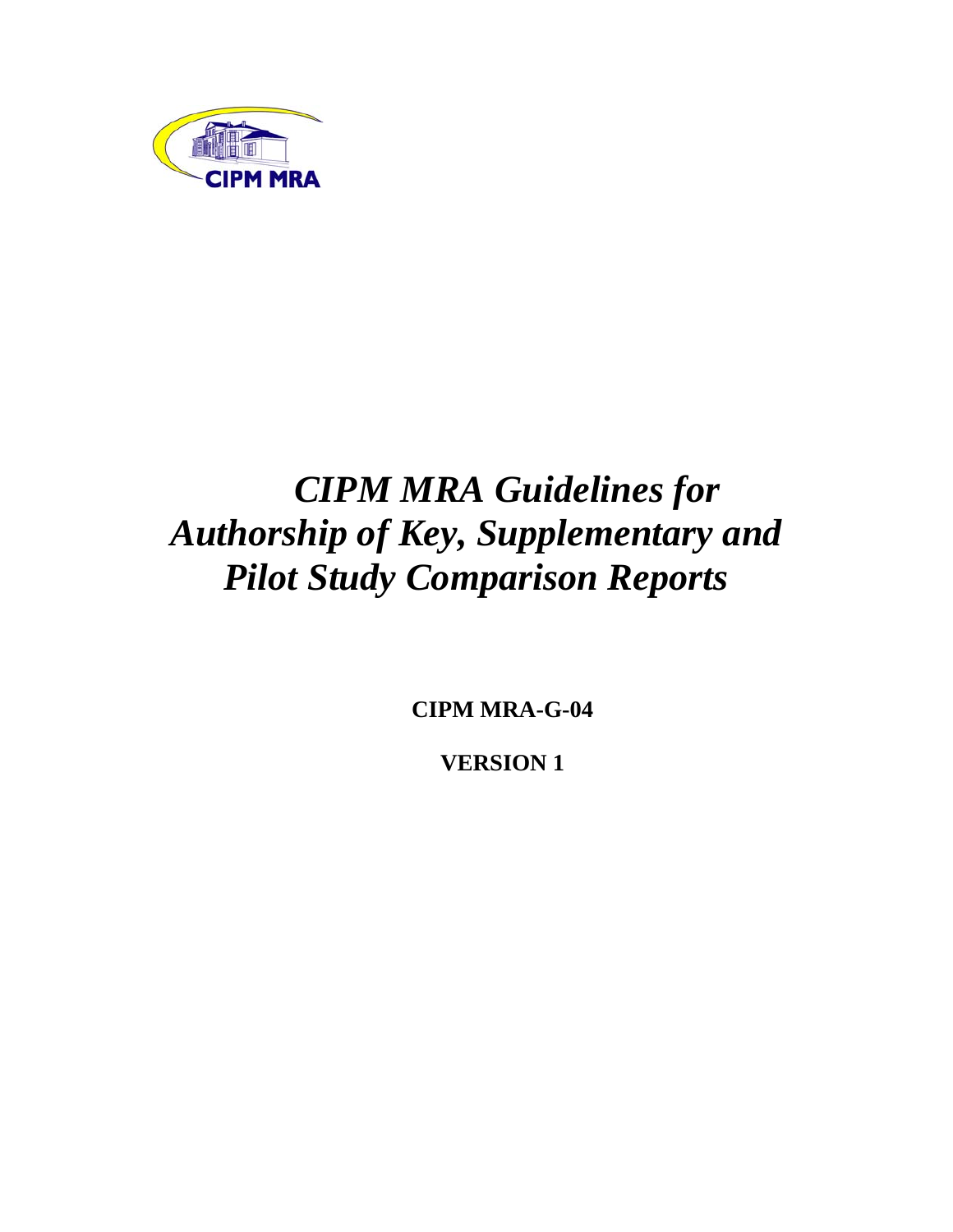

# *CIPM MRA Guidelines for Authorship of Key, Supplementary and Pilot Study Comparison Reports*

**CIPM MRA-G-04** 

**VERSION 1**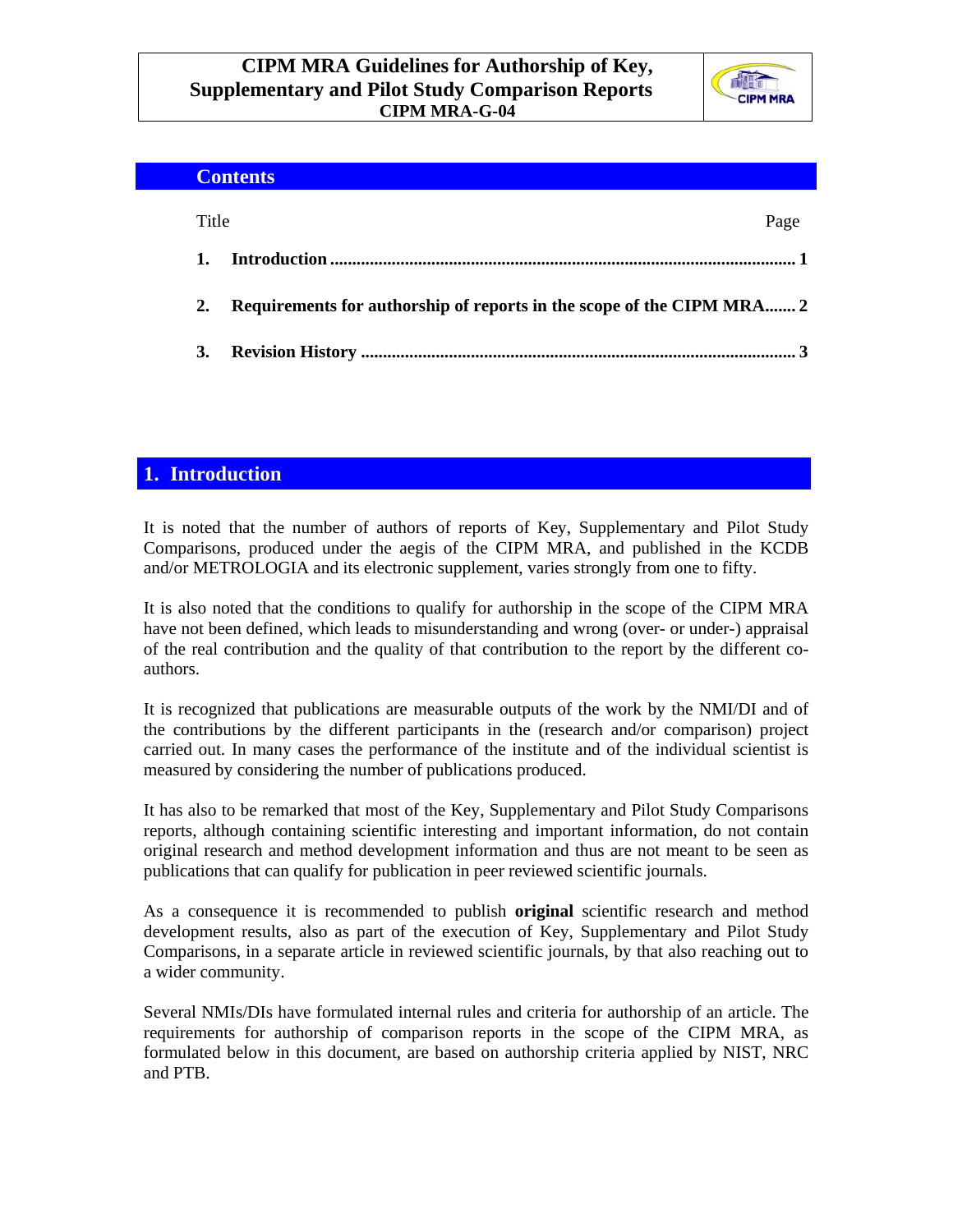

|       | <b>Contents</b>                                                       |
|-------|-----------------------------------------------------------------------|
| Title | Page                                                                  |
| 1.    |                                                                       |
| 2.    | Requirements for authorship of reports in the scope of the CIPM MRA 2 |
| 3.    |                                                                       |
|       |                                                                       |

### **1. Introduction**

It is noted that the number of authors of reports of Key, Supplementary and Pilot Study Comparisons, produced under the aegis of the CIPM MRA, and published in the KCDB and/or METROLOGIA and its electronic supplement, varies strongly from one to fifty.

It is also noted that the conditions to qualify for authorship in the scope of the CIPM MRA have not been defined, which leads to misunderstanding and wrong (over- or under-) appraisal of the real contribution and the quality of that contribution to the report by the different coauthors.

It is recognized that publications are measurable outputs of the work by the NMI/DI and of the contributions by the different participants in the (research and/or comparison) project carried out. In many cases the performance of the institute and of the individual scientist is measured by considering the number of publications produced.

It has also to be remarked that most of the Key, Supplementary and Pilot Study Comparisons reports, although containing scientific interesting and important information, do not contain original research and method development information and thus are not meant to be seen as publications that can qualify for publication in peer reviewed scientific journals.

As a consequence it is recommended to publish **original** scientific research and method development results, also as part of the execution of Key, Supplementary and Pilot Study Comparisons, in a separate article in reviewed scientific journals, by that also reaching out to a wider community.

Several NMIs/DIs have formulated internal rules and criteria for authorship of an article. The requirements for authorship of comparison reports in the scope of the CIPM MRA, as formulated below in this document, are based on authorship criteria applied by NIST, NRC and PTB.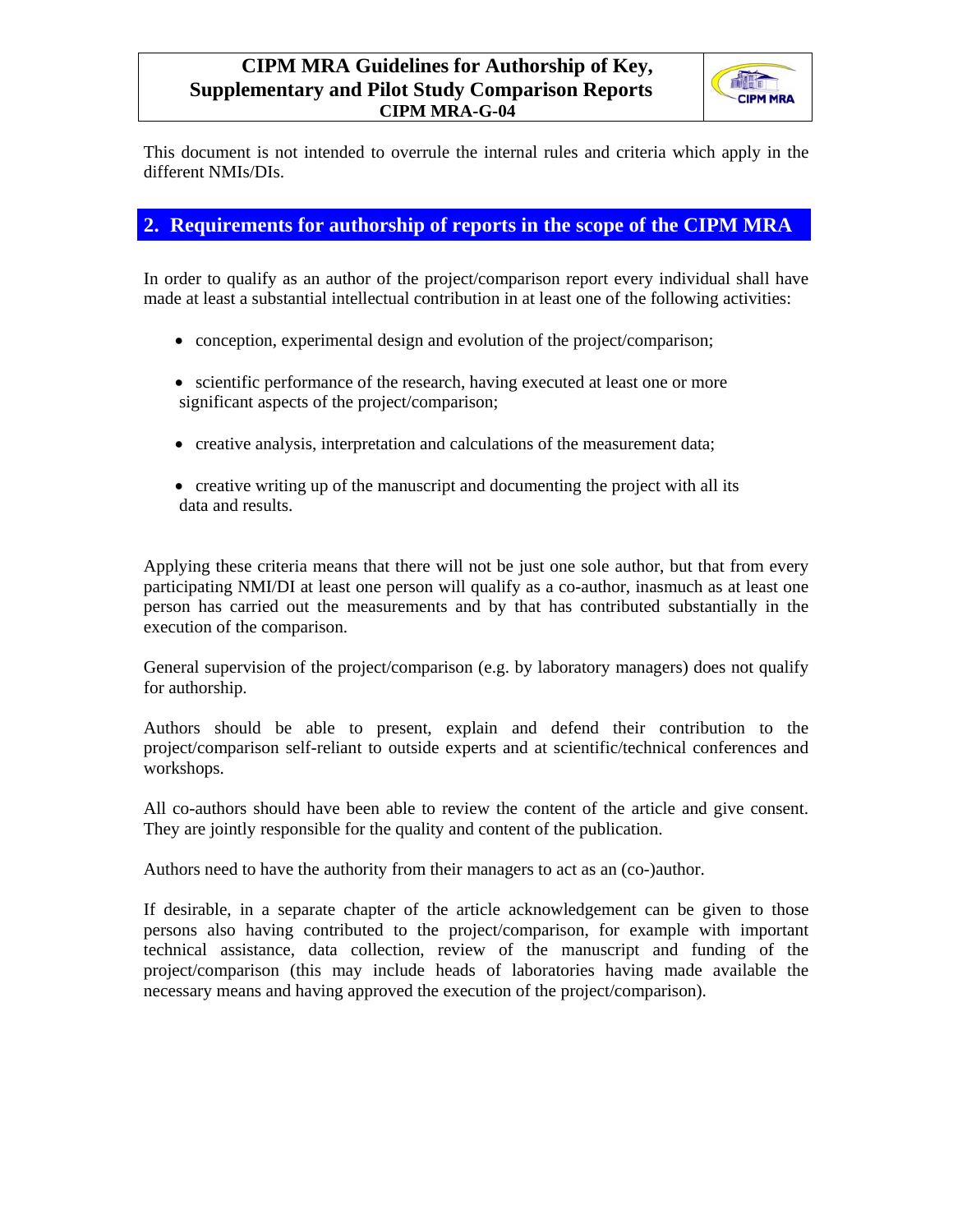

This document is not intended to overrule the internal rules and criteria which apply in the different NMIs/DIs.

#### **2. Requirements for authorship of reports in the scope of the CIPM MRA**

In order to qualify as an author of the project/comparison report every individual shall have made at least a substantial intellectual contribution in at least one of the following activities:

- conception, experimental design and evolution of the project/comparison;
- scientific performance of the research, having executed at least one or more significant aspects of the project/comparison;
- creative analysis, interpretation and calculations of the measurement data;
- creative writing up of the manuscript and documenting the project with all its data and results.

Applying these criteria means that there will not be just one sole author, but that from every participating NMI/DI at least one person will qualify as a co-author, inasmuch as at least one person has carried out the measurements and by that has contributed substantially in the execution of the comparison.

General supervision of the project/comparison (e.g. by laboratory managers) does not qualify for authorship.

Authors should be able to present, explain and defend their contribution to the project/comparison self-reliant to outside experts and at scientific/technical conferences and workshops.

All co-authors should have been able to review the content of the article and give consent. They are jointly responsible for the quality and content of the publication.

Authors need to have the authority from their managers to act as an (co-)author.

If desirable, in a separate chapter of the article acknowledgement can be given to those persons also having contributed to the project/comparison, for example with important technical assistance, data collection, review of the manuscript and funding of the project/comparison (this may include heads of laboratories having made available the necessary means and having approved the execution of the project/comparison).